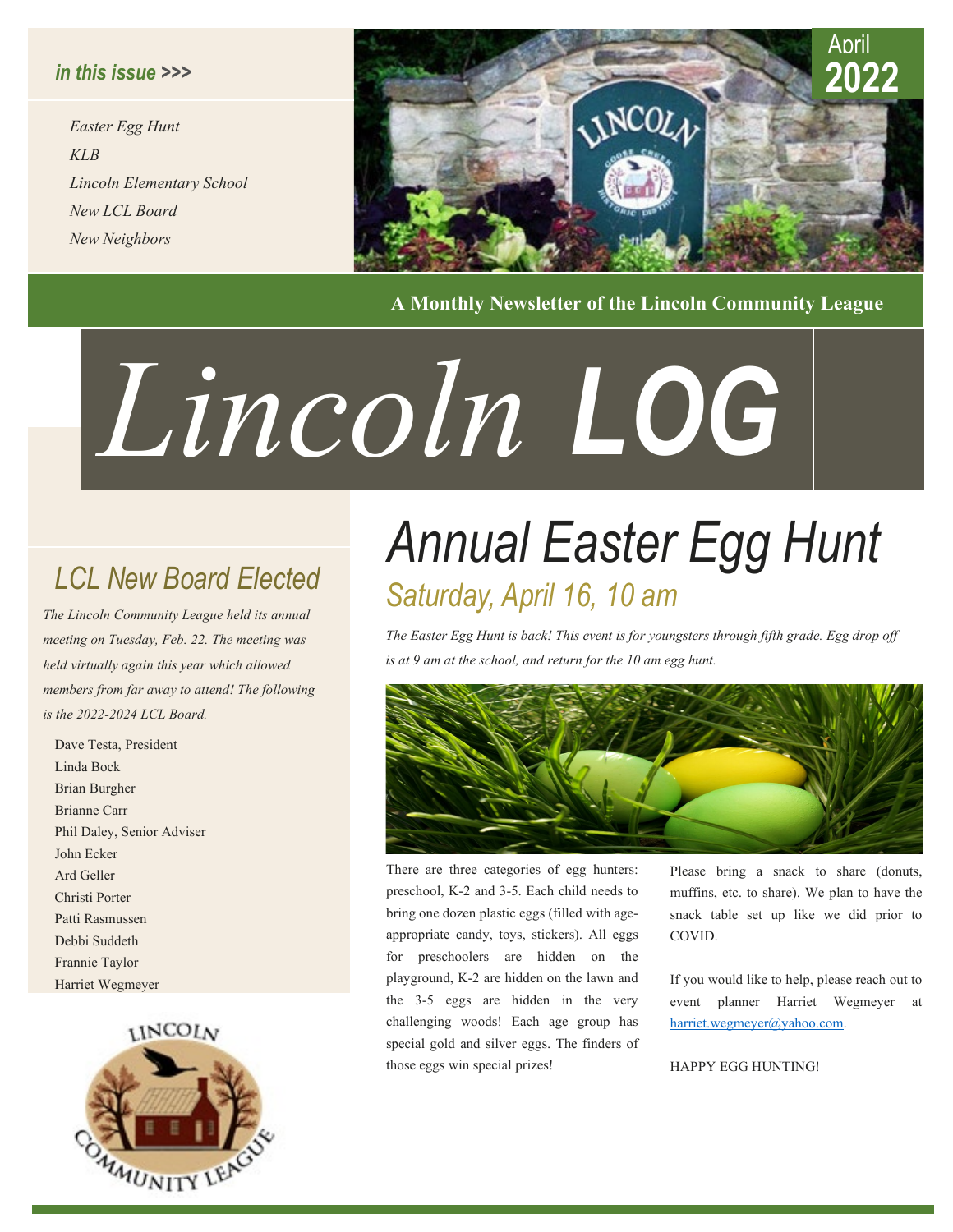#### *in this issue >>>*

*Easter Egg Hunt KLB Lincoln Elementary School New LCL Board New Neighbors*



**A Monthly Newsletter of the Lincoln Community League**

# *LOG Lincoln*

*The Lincoln Community League held its annual meeting on Tuesday, Feb. 22. The meeting was held virtually again this year which allowed members from far away to attend! The following is the 2022-2024 LCL Board.*

Dave Testa, President Linda Bock Brian Burgher Brianne Carr Phil Daley, Senior Adviser John Ecker Ard Geller Christi Porter Patti Rasmussen Debbi Suddeth Frannie Taylor Harriet Wegmeyer

#### **INCOLV**



### *Annual Easter Egg Hunt LCL New Board Elected Saturday, April 16, 10 am*

*The Easter Egg Hunt is back! This event is for youngsters through fifth grade. Egg drop off is at 9 am at the school, and return for the 10 am egg hunt.*



There are three categories of egg hunters: preschool, K-2 and 3-5. Each child needs to bring one dozen plastic eggs (filled with ageappropriate candy, toys, stickers). All eggs for preschoolers are hidden on the playground, K-2 are hidden on the lawn and the 3-5 eggs are hidden in the very challenging woods! Each age group has special gold and silver eggs. The finders of those eggs win special prizes!

Please bring a snack to share (donuts, muffins, etc. to share). We plan to have the snack table set up like we did prior to COVID.

If you would like to help, please reach out to event planner Harriet Wegmeyer at [harriet.wegmeyer@yahoo.com.](mailto:harriet.wegmeyer@yahoo.com)

HAPPY EGG HUNTING!